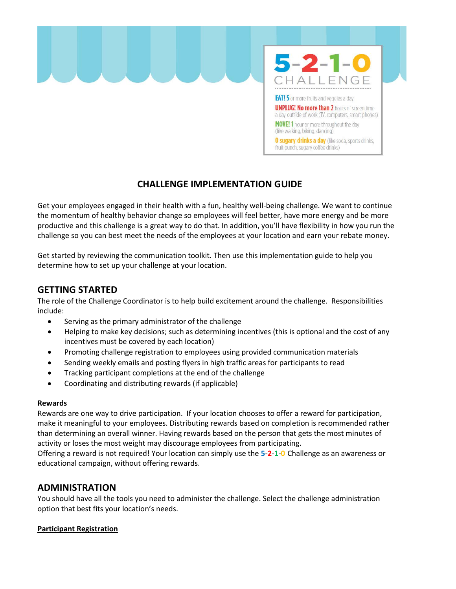

## **CHALLENGE IMPLEMENTATION GUIDE**

Get your employees engaged in their health with a fun, healthy well-being challenge. We want to continue the momentum of healthy behavior change so employees will feel better, have more energy and be more productive and this challenge is a great way to do that. In addition, you'll have flexibility in how you run the challenge so you can best meet the needs of the employees at your location and earn your rebate money.

Get started by reviewing the communication toolkit. Then use this implementation guide to help you determine how to set up your challenge at your location.

### **GETTING STARTED**

The role of the Challenge Coordinator is to help build excitement around the challenge. Responsibilities include:

- Serving as the primary administrator of the challenge
- Helping to make key decisions; such as determining incentives (this is optional and the cost of any incentives must be covered by each location)
- Promoting challenge registration to employees using provided communication materials
- Sending weekly emails and posting flyers in high traffic areas for participants to read
- Tracking participant completions at the end of the challenge
- Coordinating and distributing rewards (if applicable)

#### **Rewards**

Rewards are one way to drive participation. If your location chooses to offer a reward for participation, make it meaningful to your employees. Distributing rewards based on completion is recommended rather than determining an overall winner. Having rewards based on the person that gets the most minutes of activity or loses the most weight may discourage employees from participating.

Offering a reward is not required! Your location can simply use the **5-2-1-0** Challenge as an awareness or educational campaign, without offering rewards.

## **ADMINISTRATION**

You should have all the tools you need to administer the challenge. Select the challenge administration option that best fits your location's needs.

#### **Participant Registration**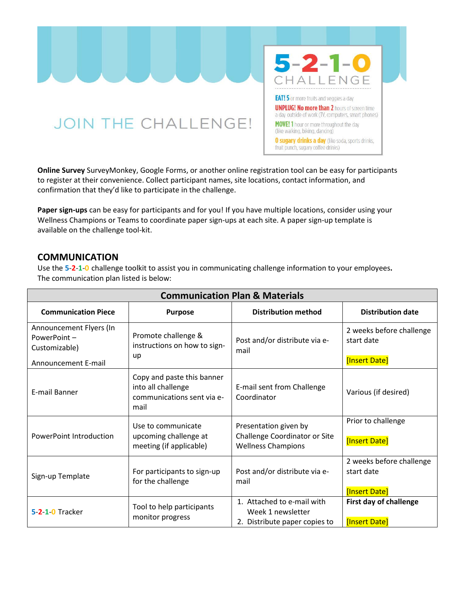**JOIN THE CHALLENGE!** 



fruit punch, sugary coffee drinks)

**Online Survey** SurveyMonkey, Google Forms, or another online registration tool can be easy for participants to register at their convenience. Collect participant names, site locations, contact information, and confirmation that they'd like to participate in the challenge.

**Paper sign-ups** can be easy for participants and for you! If you have multiple locations, consider using your Wellness Champions or Teams to coordinate paper sign-ups at each site. A paper sign-up template is available on the challenge tool-kit.

#### **COMMUNICATION**

Use the **5-2-1-0** challenge toolkit to assist you in communicating challenge information to your employees**.**  The communication plan listed is below:

| <b>Communication Plan &amp; Materials</b>               |                                                                                        |                                                                                     |                                                         |  |  |
|---------------------------------------------------------|----------------------------------------------------------------------------------------|-------------------------------------------------------------------------------------|---------------------------------------------------------|--|--|
| <b>Communication Piece</b>                              | <b>Purpose</b>                                                                         | <b>Distribution method</b>                                                          | <b>Distribution date</b>                                |  |  |
| Announcement Flyers (In<br>PowerPoint-<br>Customizable) | Promote challenge &<br>instructions on how to sign-<br>up                              | Post and/or distribute via e-<br>mail                                               | 2 weeks before challenge<br>start date                  |  |  |
| Announcement E-mail                                     |                                                                                        |                                                                                     | [Insert Date]                                           |  |  |
| E-mail Banner                                           | Copy and paste this banner<br>into all challenge<br>communications sent via e-<br>mail | E-mail sent from Challenge<br>Coordinator                                           | Various (if desired)                                    |  |  |
| PowerPoint Introduction                                 | Use to communicate<br>upcoming challenge at<br>meeting (if applicable)                 | Presentation given by<br>Challenge Coordinator or Site<br><b>Wellness Champions</b> | Prior to challenge                                      |  |  |
|                                                         |                                                                                        |                                                                                     | [Insert Date]                                           |  |  |
| Sign-up Template                                        | For participants to sign-up<br>for the challenge                                       | Post and/or distribute via e-<br>mail                                               | 2 weeks before challenge<br>start date<br>[Insert Date] |  |  |
| 5-2-1-0 Tracker                                         | Tool to help participants<br>monitor progress                                          | 1. Attached to e-mail with<br>Week 1 newsletter<br>2. Distribute paper copies to    | First day of challenge<br>[Insert Date]                 |  |  |